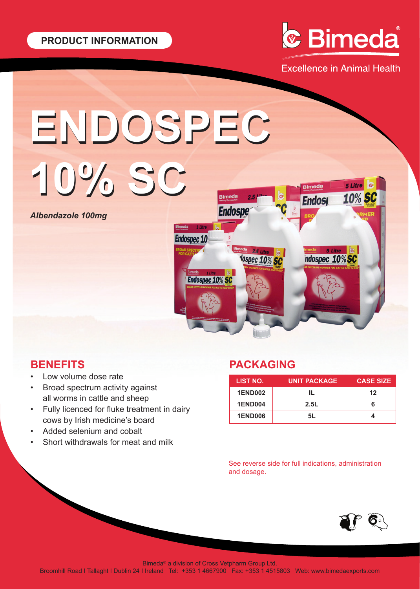

**Excellence in Animal Health** 

# **ENDOSPEC ENDOSPEC**

*Albendazole 100mg*



# **BENEFITS**

- Low volume dose rate
- Broad spectrum activity against all worms in cattle and sheep
- Fully licenced for fluke treatment in dairy cows by Irish medicine's board
- Added selenium and cobalt
- Short withdrawals for meat and milk

# **PACKAGING**

| LIST NO.       | <b>UNIT PACKAGE</b> | <b>CASE SIZE</b> |
|----------------|---------------------|------------------|
| <b>1END002</b> |                     | 12               |
| <b>1END004</b> | 2.5L                | 6                |
| <b>1END006</b> | 51.                 |                  |

See reverse side for full indications, administration and dosage.



Bimeda® a division of Cross Vetpharm Group Ltd.

Broomhill Road I Tallaght I Dublin 24 I Ireland Tel: +353 1 4667900 Fax: +353 1 4515803 Web: www.bimedaexports.com